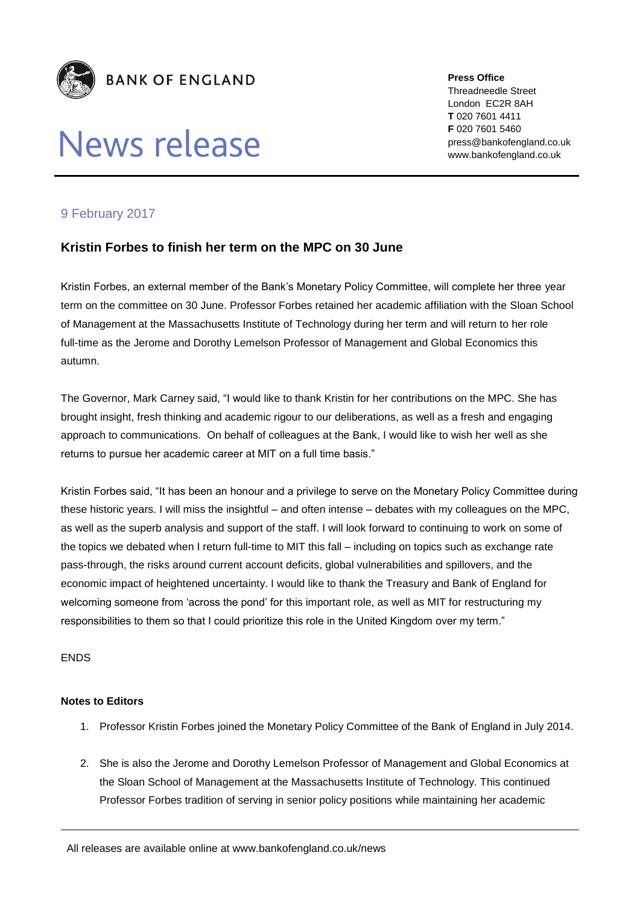

## News release

**Press Office** Threadneedle Street London EC2R 8AH **T** 020 7601 4411 **F** 020 7601 5460 press@bankofengland.co.uk www.bankofengland.co.uk

## 9 February 2017

## **Kristin Forbes to finish her term on the MPC on 30 June**

Kristin Forbes, an external member of the Bank's Monetary Policy Committee, will complete her three year term on the committee on 30 June. Professor Forbes retained her academic affiliation with the Sloan School of Management at the Massachusetts Institute of Technology during her term and will return to her role full-time as the Jerome and Dorothy Lemelson Professor of Management and Global Economics this autumn.

The Governor, Mark Carney said, "I would like to thank Kristin for her contributions on the MPC. She has brought insight, fresh thinking and academic rigour to our deliberations, as well as a fresh and engaging approach to communications. On behalf of colleagues at the Bank, I would like to wish her well as she returns to pursue her academic career at MIT on a full time basis."

Kristin Forbes said, "It has been an honour and a privilege to serve on the Monetary Policy Committee during these historic years. I will miss the insightful – and often intense – debates with my colleagues on the MPC, as well as the superb analysis and support of the staff. I will look forward to continuing to work on some of the topics we debated when I return full-time to MIT this fall – including on topics such as exchange rate pass-through, the risks around current account deficits, global vulnerabilities and spillovers, and the economic impact of heightened uncertainty. I would like to thank the Treasury and Bank of England for welcoming someone from 'across the pond' for this important role, as well as MIT for restructuring my responsibilities to them so that I could prioritize this role in the United Kingdom over my term."

ENDS

## **Notes to Editors**

- 1. Professor Kristin Forbes joined the Monetary Policy Committee of the Bank of England in July 2014.
- 2. She is also the Jerome and Dorothy Lemelson Professor of Management and Global Economics at the Sloan School of Management at the Massachusetts Institute of Technology. This continued Professor Forbes tradition of serving in senior policy positions while maintaining her academic